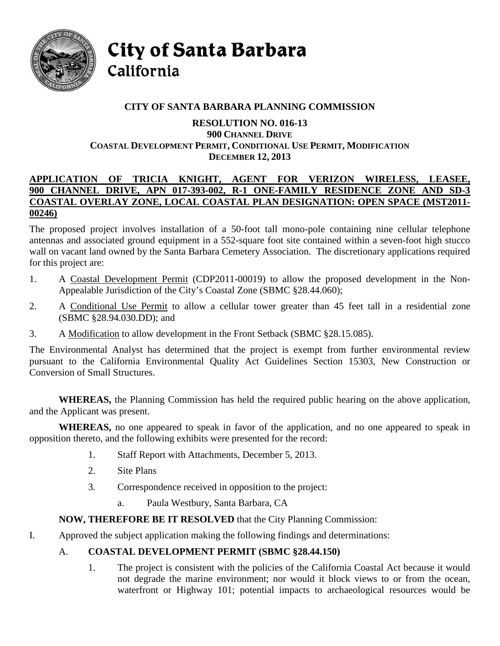

City of Santa Barbara California

# **CITY OF SANTA BARBARA PLANNING COMMISSION**

#### **RESOLUTION NO. 016-13 900 CHANNEL DRIVE COASTAL DEVELOPMENT PERMIT, CONDITIONAL USE PERMIT, MODIFICATION DECEMBER 12, 2013**

#### **APPLICATION OF TRICIA KNIGHT, AGENT FOR VERIZON WIRELESS, LEASEE, 900 CHANNEL DRIVE, APN 017-393-002, R-1 ONE-FAMILY RESIDENCE ZONE AND SD-3 COASTAL OVERLAY ZONE, LOCAL COASTAL PLAN DESIGNATION: OPEN SPACE (MST2011- 00246)**

The proposed project involves installation of a 50-foot tall mono-pole containing nine cellular telephone antennas and associated ground equipment in a 552-square foot site contained within a seven-foot high stucco wall on vacant land owned by the Santa Barbara Cemetery Association. The discretionary applications required for this project are:

- 1. A Coastal Development Permit (CDP2011-00019) to allow the proposed development in the Non-Appealable Jurisdiction of the City's Coastal Zone (SBMC §28.44.060);
- 2. A Conditional Use Permit to allow a cellular tower greater than 45 feet tall in a residential zone (SBMC §28.94.030.DD); and
- 3. A Modification to allow development in the Front Setback (SBMC §28.15.085).

The Environmental Analyst has determined that the project is exempt from further environmental review pursuant to the California Environmental Quality Act Guidelines Section 15303, New Construction or Conversion of Small Structures.

**WHEREAS,** the Planning Commission has held the required public hearing on the above application, and the Applicant was present.

**WHEREAS,** no one appeared to speak in favor of the application, and no one appeared to speak in opposition thereto, and the following exhibits were presented for the record:

- 1. Staff Report with Attachments, December 5, 2013.
- 2. Site Plans
- 3. Correspondence received in opposition to the project:
	- a. Paula Westbury, Santa Barbara, CA

# **NOW, THEREFORE BE IT RESOLVED** that the City Planning Commission:

I. Approved the subject application making the following findings and determinations:

# A. **COASTAL DEVELOPMENT PERMIT (SBMC §28.44.150)**

1. The project is consistent with the policies of the California Coastal Act because it would not degrade the marine environment; nor would it block views to or from the ocean, waterfront or Highway 101; potential impacts to archaeological resources would be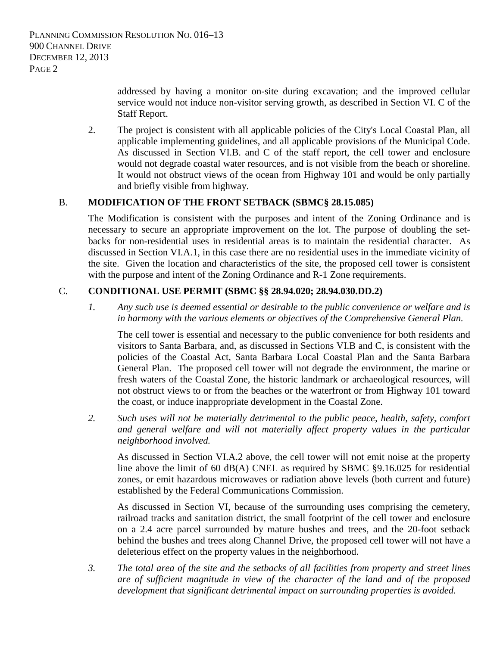addressed by having a monitor on-site during excavation; and the improved cellular service would not induce non-visitor serving growth, as described in Section VI. C of the Staff Report.

2. The project is consistent with all applicable policies of the City's Local Coastal Plan, all applicable implementing guidelines, and all applicable provisions of the Municipal Code. As discussed in Section VI.B. and C of the staff report, the cell tower and enclosure would not degrade coastal water resources, and is not visible from the beach or shoreline. It would not obstruct views of the ocean from Highway 101 and would be only partially and briefly visible from highway.

## B. **MODIFICATION OF THE FRONT SETBACK (SBMC§ 28.15.085)**

The Modification is consistent with the purposes and intent of the Zoning Ordinance and is necessary to secure an appropriate improvement on the lot. The purpose of doubling the setbacks for non-residential uses in residential areas is to maintain the residential character. As discussed in Section VI.A.1, in this case there are no residential uses in the immediate vicinity of the site. Given the location and characteristics of the site, the proposed cell tower is consistent with the purpose and intent of the Zoning Ordinance and R-1 Zone requirements.

# C. **CONDITIONAL USE PERMIT (SBMC §§ 28.94.020; 28.94.030.DD.2)**

*1. Any such use is deemed essential or desirable to the public convenience or welfare and is in harmony with the various elements or objectives of the Comprehensive General Plan.* 

The cell tower is essential and necessary to the public convenience for both residents and visitors to Santa Barbara, and, as discussed in Sections VI.B and C, is consistent with the policies of the Coastal Act, Santa Barbara Local Coastal Plan and the Santa Barbara General Plan. The proposed cell tower will not degrade the environment, the marine or fresh waters of the Coastal Zone, the historic landmark or archaeological resources, will not obstruct views to or from the beaches or the waterfront or from Highway 101 toward the coast, or induce inappropriate development in the Coastal Zone.

*2. Such uses will not be materially detrimental to the public peace, health, safety, comfort*  and general welfare and will not materially affect property values in the particular *neighborhood involved.*

As discussed in Section VI.A.2 above, the cell tower will not emit noise at the property line above the limit of 60 dB(A) CNEL as required by SBMC §9.16.025 for residential zones, or emit hazardous microwaves or radiation above levels (both current and future) established by the Federal Communications Commission.

As discussed in Section VI, because of the surrounding uses comprising the cemetery, railroad tracks and sanitation district, the small footprint of the cell tower and enclosure on a 2.4 acre parcel surrounded by mature bushes and trees, and the 20-foot setback behind the bushes and trees along Channel Drive, the proposed cell tower will not have a deleterious effect on the property values in the neighborhood.

*3. The total area of the site and the setbacks of all facilities from property and street lines are of sufficient magnitude in view of the character of the land and of the proposed development that significant detrimental impact on surrounding properties is avoided.*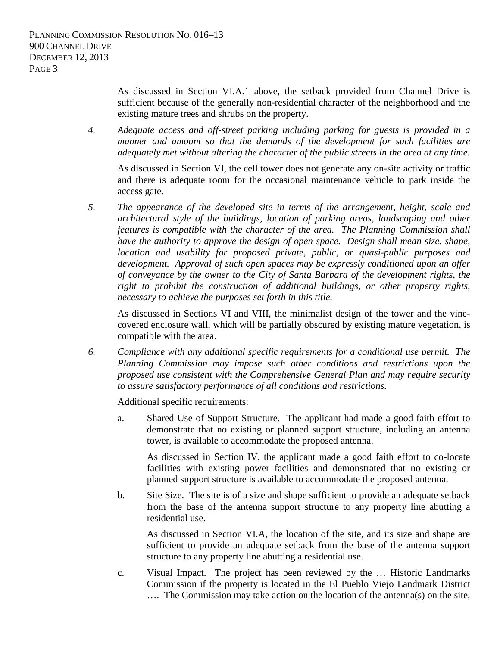As discussed in Section VI.A.1 above, the setback provided from Channel Drive is sufficient because of the generally non-residential character of the neighborhood and the existing mature trees and shrubs on the property.

*4. Adequate access and off-street parking including parking for guests is provided in a manner and amount so that the demands of the development for such facilities are adequately met without altering the character of the public streets in the area at any time.*

As discussed in Section VI, the cell tower does not generate any on-site activity or traffic and there is adequate room for the occasional maintenance vehicle to park inside the access gate.

*5. The appearance of the developed site in terms of the arrangement, height, scale and architectural style of the buildings, location of parking areas, landscaping and other features is compatible with the character of the area. The Planning Commission shall have the authority to approve the design of open space. Design shall mean size, shape, location and usability for proposed private, public, or quasi-public purposes and development. Approval of such open spaces may be expressly conditioned upon an offer of conveyance by the owner to the City of Santa Barbara of the development rights, the right to prohibit the construction of additional buildings, or other property rights, necessary to achieve the purposes set forth in this title.*

As discussed in Sections VI and VIII, the minimalist design of the tower and the vinecovered enclosure wall, which will be partially obscured by existing mature vegetation, is compatible with the area.

*6. Compliance with any additional specific requirements for a conditional use permit. The Planning Commission may impose such other conditions and restrictions upon the proposed use consistent with the Comprehensive General Plan and may require security to assure satisfactory performance of all conditions and restrictions.* 

Additional specific requirements:

a. Shared Use of Support Structure. The applicant had made a good faith effort to demonstrate that no existing or planned support structure, including an antenna tower, is available to accommodate the proposed antenna.

As discussed in Section IV, the applicant made a good faith effort to co-locate facilities with existing power facilities and demonstrated that no existing or planned support structure is available to accommodate the proposed antenna.

b. Site Size. The site is of a size and shape sufficient to provide an adequate setback from the base of the antenna support structure to any property line abutting a residential use.

As discussed in Section VI.A, the location of the site, and its size and shape are sufficient to provide an adequate setback from the base of the antenna support structure to any property line abutting a residential use.

c. Visual Impact. The project has been reviewed by the … Historic Landmarks Commission if the property is located in the El Pueblo Viejo Landmark District …. The Commission may take action on the location of the antenna(s) on the site,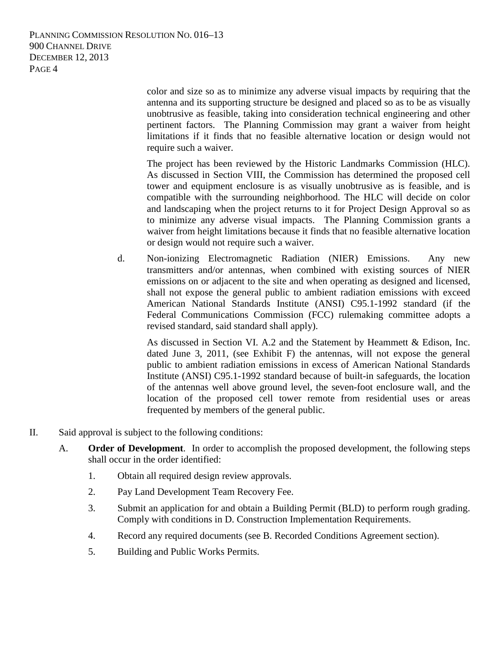PLANNING COMMISSION RESOLUTION NO. 016–13 900 CHANNEL DRIVE DECEMBER 12, 2013 PAGE 4

> color and size so as to minimize any adverse visual impacts by requiring that the antenna and its supporting structure be designed and placed so as to be as visually unobtrusive as feasible, taking into consideration technical engineering and other pertinent factors. The Planning Commission may grant a waiver from height limitations if it finds that no feasible alternative location or design would not require such a waiver.

> The project has been reviewed by the Historic Landmarks Commission (HLC). As discussed in Section VIII, the Commission has determined the proposed cell tower and equipment enclosure is as visually unobtrusive as is feasible, and is compatible with the surrounding neighborhood. The HLC will decide on color and landscaping when the project returns to it for Project Design Approval so as to minimize any adverse visual impacts. The Planning Commission grants a waiver from height limitations because it finds that no feasible alternative location or design would not require such a waiver.

d. Non-ionizing Electromagnetic Radiation (NIER) Emissions. Any new transmitters and/or antennas, when combined with existing sources of NIER emissions on or adjacent to the site and when operating as designed and licensed, shall not expose the general public to ambient radiation emissions with exceed American National Standards Institute (ANSI) C95.1-1992 standard (if the Federal Communications Commission (FCC) rulemaking committee adopts a revised standard, said standard shall apply).

As discussed in Section VI. A.2 and the Statement by Heammett & Edison, Inc. dated June 3, 2011, (see Exhibit F) the antennas, will not expose the general public to ambient radiation emissions in excess of American National Standards Institute (ANSI) C95.1-1992 standard because of built-in safeguards, the location of the antennas well above ground level, the seven-foot enclosure wall, and the location of the proposed cell tower remote from residential uses or areas frequented by members of the general public.

- II. Said approval is subject to the following conditions:
	- A. **Order of Development**. In order to accomplish the proposed development, the following steps shall occur in the order identified:
		- 1. Obtain all required design review approvals.
		- 2. Pay Land Development Team Recovery Fee.
		- 3. Submit an application for and obtain a Building Permit (BLD) to perform rough grading. Comply with conditions in D. Construction Implementation Requirements.
		- 4. Record any required documents (see B. Recorded Conditions Agreement section).
		- 5. Building and Public Works Permits.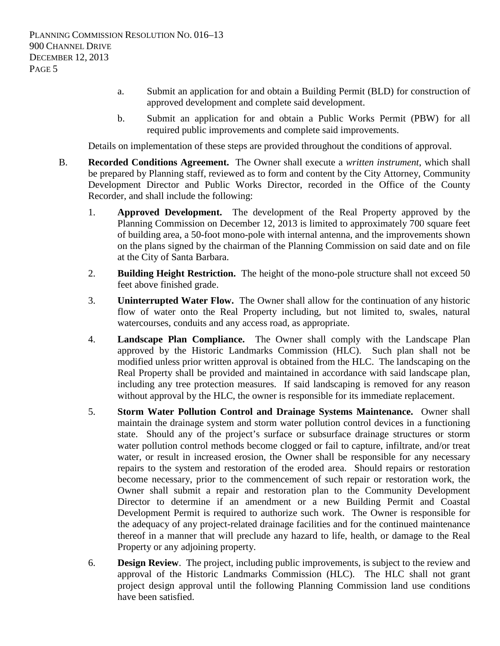- a. Submit an application for and obtain a Building Permit (BLD) for construction of approved development and complete said development.
- b. Submit an application for and obtain a Public Works Permit (PBW) for all required public improvements and complete said improvements.

Details on implementation of these steps are provided throughout the conditions of approval.

- B. **Recorded Conditions Agreement.** The Owner shall execute a *written instrument*, which shall be prepared by Planning staff, reviewed as to form and content by the City Attorney, Community Development Director and Public Works Director, recorded in the Office of the County Recorder, and shall include the following:
	- 1. **Approved Development.** The development of the Real Property approved by the Planning Commission on December 12, 2013 is limited to approximately 700 square feet of building area, a 50-foot mono-pole with internal antenna, and the improvements shown on the plans signed by the chairman of the Planning Commission on said date and on file at the City of Santa Barbara.
	- 2. **Building Height Restriction.** The height of the mono-pole structure shall not exceed 50 feet above finished grade.
	- 3. **Uninterrupted Water Flow.** The Owner shall allow for the continuation of any historic flow of water onto the Real Property including, but not limited to, swales, natural watercourses, conduits and any access road, as appropriate.
	- 4. **Landscape Plan Compliance.** The Owner shall comply with the Landscape Plan approved by the Historic Landmarks Commission (HLC). Such plan shall not be modified unless prior written approval is obtained from the HLC. The landscaping on the Real Property shall be provided and maintained in accordance with said landscape plan, including any tree protection measures. If said landscaping is removed for any reason without approval by the HLC, the owner is responsible for its immediate replacement.
	- 5. **Storm Water Pollution Control and Drainage Systems Maintenance.** Owner shall maintain the drainage system and storm water pollution control devices in a functioning state. Should any of the project's surface or subsurface drainage structures or storm water pollution control methods become clogged or fail to capture, infiltrate, and/or treat water, or result in increased erosion, the Owner shall be responsible for any necessary repairs to the system and restoration of the eroded area. Should repairs or restoration become necessary, prior to the commencement of such repair or restoration work, the Owner shall submit a repair and restoration plan to the Community Development Director to determine if an amendment or a new Building Permit and Coastal Development Permit is required to authorize such work. The Owner is responsible for the adequacy of any project-related drainage facilities and for the continued maintenance thereof in a manner that will preclude any hazard to life, health, or damage to the Real Property or any adjoining property.
	- 6. **Design Review**. The project, including public improvements, is subject to the review and approval of the Historic Landmarks Commission (HLC). The HLC shall not grant project design approval until the following Planning Commission land use conditions have been satisfied.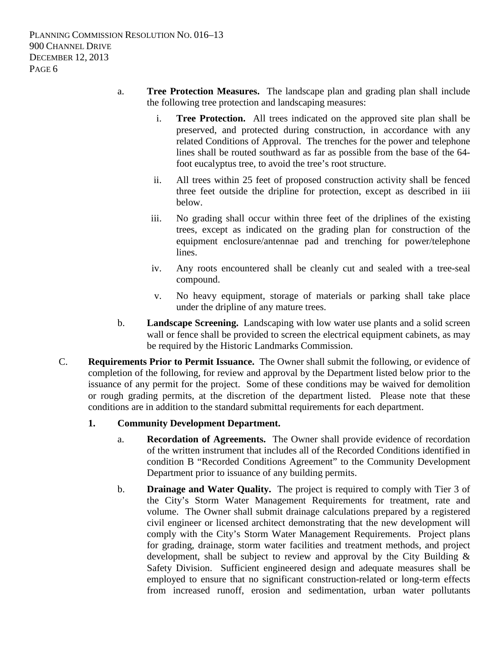- a. **Tree Protection Measures.** The landscape plan and grading plan shall include the following tree protection and landscaping measures:
	- i. **Tree Protection.** All trees indicated on the approved site plan shall be preserved, and protected during construction, in accordance with any related Conditions of Approval. The trenches for the power and telephone lines shall be routed southward as far as possible from the base of the 64 foot eucalyptus tree, to avoid the tree's root structure.
	- ii. All trees within 25 feet of proposed construction activity shall be fenced three feet outside the dripline for protection, except as described in iii below.
	- iii. No grading shall occur within three feet of the driplines of the existing trees, except as indicated on the grading plan for construction of the equipment enclosure/antennae pad and trenching for power/telephone lines.
	- iv. Any roots encountered shall be cleanly cut and sealed with a tree-seal compound.
	- v. No heavy equipment, storage of materials or parking shall take place under the dripline of any mature trees.
- b. **Landscape Screening.** Landscaping with low water use plants and a solid screen wall or fence shall be provided to screen the electrical equipment cabinets, as may be required by the Historic Landmarks Commission.
- C. **Requirements Prior to Permit Issuance.** The Owner shall submit the following, or evidence of completion of the following, for review and approval by the Department listed below prior to the issuance of any permit for the project. Some of these conditions may be waived for demolition or rough grading permits, at the discretion of the department listed. Please note that these conditions are in addition to the standard submittal requirements for each department.

## **1. Community Development Department.**

- a. **Recordation of Agreements.** The Owner shall provide evidence of recordation of the written instrument that includes all of the Recorded Conditions identified in condition B "Recorded Conditions Agreement" to the Community Development Department prior to issuance of any building permits.
- b. **Drainage and Water Quality.** The project is required to comply with Tier 3 of the City's Storm Water Management Requirements for treatment, rate and volume. The Owner shall submit drainage calculations prepared by a registered civil engineer or licensed architect demonstrating that the new development will comply with the City's Storm Water Management Requirements. Project plans for grading, drainage, storm water facilities and treatment methods, and project development, shall be subject to review and approval by the City Building & Safety Division. Sufficient engineered design and adequate measures shall be employed to ensure that no significant construction-related or long-term effects from increased runoff, erosion and sedimentation, urban water pollutants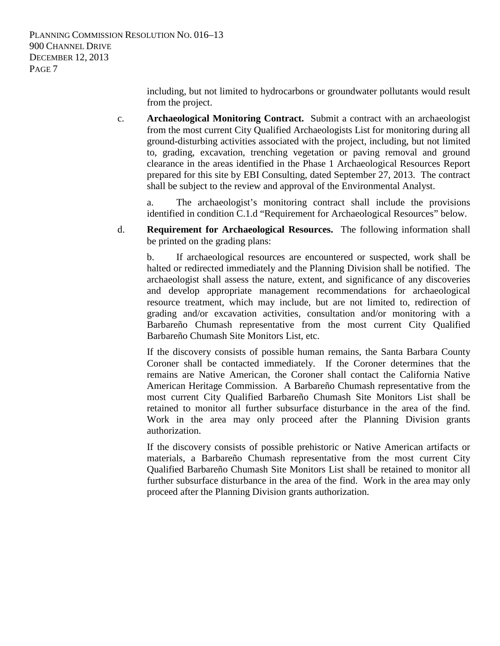including, but not limited to hydrocarbons or groundwater pollutants would result from the project.

c. **Archaeological Monitoring Contract.** Submit a contract with an archaeologist from the most current City Qualified Archaeologists List for monitoring during all ground-disturbing activities associated with the project, including, but not limited to, grading, excavation, trenching vegetation or paving removal and ground clearance in the areas identified in the Phase 1 Archaeological Resources Report prepared for this site by EBI Consulting, dated September 27, 2013. The contract shall be subject to the review and approval of the Environmental Analyst.

a. The archaeologist's monitoring contract shall include the provisions identified in condition C.1.d "Requirement for Archaeological Resources" below.

d. **Requirement for Archaeological Resources.** The following information shall be printed on the grading plans:

b. If archaeological resources are encountered or suspected, work shall be halted or redirected immediately and the Planning Division shall be notified. The archaeologist shall assess the nature, extent, and significance of any discoveries and develop appropriate management recommendations for archaeological resource treatment, which may include, but are not limited to, redirection of grading and/or excavation activities, consultation and/or monitoring with a Barbareño Chumash representative from the most current City Qualified Barbareño Chumash Site Monitors List, etc.

If the discovery consists of possible human remains, the Santa Barbara County Coroner shall be contacted immediately. If the Coroner determines that the remains are Native American, the Coroner shall contact the California Native American Heritage Commission. A Barbareño Chumash representative from the most current City Qualified Barbareño Chumash Site Monitors List shall be retained to monitor all further subsurface disturbance in the area of the find. Work in the area may only proceed after the Planning Division grants authorization.

If the discovery consists of possible prehistoric or Native American artifacts or materials, a Barbareño Chumash representative from the most current City Qualified Barbareño Chumash Site Monitors List shall be retained to monitor all further subsurface disturbance in the area of the find. Work in the area may only proceed after the Planning Division grants authorization.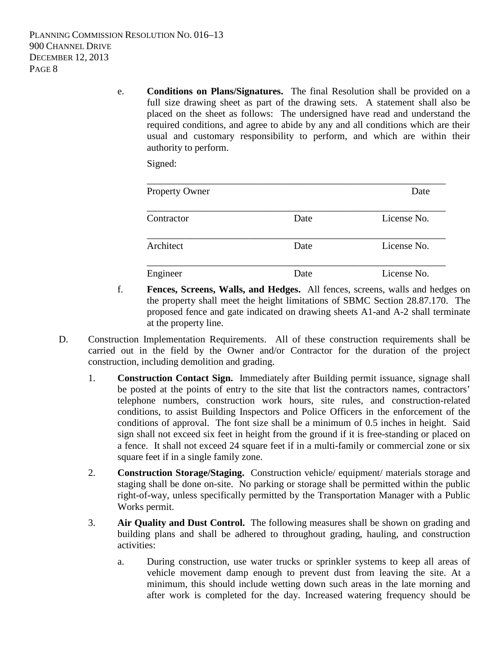PLANNING COMMISSION RESOLUTION NO. 016–13 900 CHANNEL DRIVE DECEMBER 12, 2013 PAGE 8

> e. **Conditions on Plans/Signatures.** The final Resolution shall be provided on a full size drawing sheet as part of the drawing sets. A statement shall also be placed on the sheet as follows: The undersigned have read and understand the required conditions, and agree to abide by any and all conditions which are their usual and customary responsibility to perform, and which are within their authority to perform.

Signed:

| <b>Property Owner</b> |      | Date        |
|-----------------------|------|-------------|
| Contractor            | Date | License No. |
| Architect             | Date | License No. |
| Engineer              | Date | License No. |

- f. **Fences, Screens, Walls, and Hedges.** All fences, screens, walls and hedges on the property shall meet the height limitations of SBMC Section 28.87.170. The proposed fence and gate indicated on drawing sheets A1-and A-2 shall terminate at the property line.
- D. Construction Implementation Requirements. All of these construction requirements shall be carried out in the field by the Owner and/or Contractor for the duration of the project construction, including demolition and grading.
	- 1. **Construction Contact Sign.** Immediately after Building permit issuance, signage shall be posted at the points of entry to the site that list the contractors names, contractors' telephone numbers, construction work hours, site rules, and construction-related conditions, to assist Building Inspectors and Police Officers in the enforcement of the conditions of approval. The font size shall be a minimum of 0.5 inches in height. Said sign shall not exceed six feet in height from the ground if it is free-standing or placed on a fence. It shall not exceed 24 square feet if in a multi-family or commercial zone or six square feet if in a single family zone.
	- 2. **Construction Storage/Staging.** Construction vehicle/ equipment/ materials storage and staging shall be done on-site. No parking or storage shall be permitted within the public right-of-way, unless specifically permitted by the Transportation Manager with a Public Works permit.
	- 3. **Air Quality and Dust Control.** The following measures shall be shown on grading and building plans and shall be adhered to throughout grading, hauling, and construction activities:
		- a. During construction, use water trucks or sprinkler systems to keep all areas of vehicle movement damp enough to prevent dust from leaving the site. At a minimum, this should include wetting down such areas in the late morning and after work is completed for the day. Increased watering frequency should be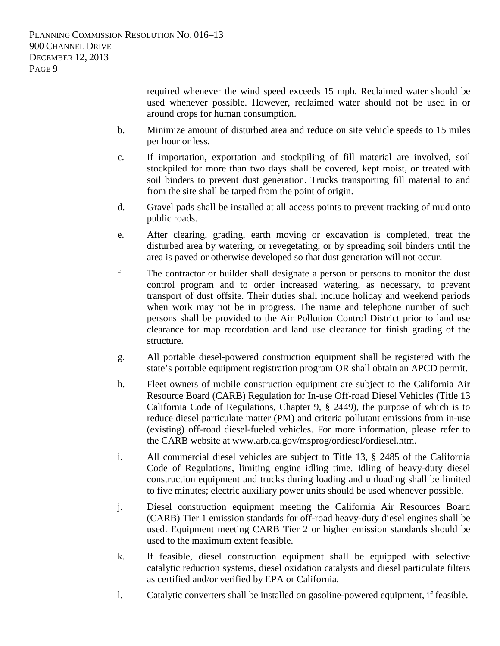required whenever the wind speed exceeds 15 mph. Reclaimed water should be used whenever possible. However, reclaimed water should not be used in or around crops for human consumption.

- b. Minimize amount of disturbed area and reduce on site vehicle speeds to 15 miles per hour or less.
- c. If importation, exportation and stockpiling of fill material are involved, soil stockpiled for more than two days shall be covered, kept moist, or treated with soil binders to prevent dust generation. Trucks transporting fill material to and from the site shall be tarped from the point of origin.
- d. Gravel pads shall be installed at all access points to prevent tracking of mud onto public roads.
- e. After clearing, grading, earth moving or excavation is completed, treat the disturbed area by watering, or revegetating, or by spreading soil binders until the area is paved or otherwise developed so that dust generation will not occur.
- f. The contractor or builder shall designate a person or persons to monitor the dust control program and to order increased watering, as necessary, to prevent transport of dust offsite. Their duties shall include holiday and weekend periods when work may not be in progress. The name and telephone number of such persons shall be provided to the Air Pollution Control District prior to land use clearance for map recordation and land use clearance for finish grading of the structure.
- g. All portable diesel-powered construction equipment shall be registered with the state's portable equipment registration program OR shall obtain an APCD permit.
- h. Fleet owners of mobile construction equipment are subject to the California Air Resource Board (CARB) Regulation for In-use Off-road Diesel Vehicles (Title 13 California Code of Regulations, Chapter 9, § 2449), the purpose of which is to reduce diesel particulate matter (PM) and criteria pollutant emissions from in-use (existing) off-road diesel-fueled vehicles. For more information, please refer to the CARB website at www.arb.ca.gov/msprog/ordiesel/ordiesel.htm.
- i. All commercial diesel vehicles are subject to Title 13, § 2485 of the California Code of Regulations, limiting engine idling time. Idling of heavy-duty diesel construction equipment and trucks during loading and unloading shall be limited to five minutes; electric auxiliary power units should be used whenever possible.
- j. Diesel construction equipment meeting the California Air Resources Board (CARB) Tier 1 emission standards for off-road heavy-duty diesel engines shall be used. Equipment meeting CARB Tier 2 or higher emission standards should be used to the maximum extent feasible.
- k. If feasible, diesel construction equipment shall be equipped with selective catalytic reduction systems, diesel oxidation catalysts and diesel particulate filters as certified and/or verified by EPA or California.
- l. Catalytic converters shall be installed on gasoline-powered equipment, if feasible.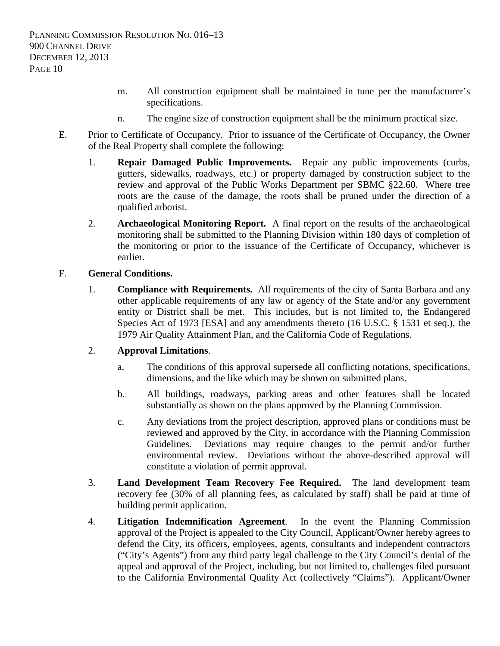- m. All construction equipment shall be maintained in tune per the manufacturer's specifications.
- n. The engine size of construction equipment shall be the minimum practical size.
- E. Prior to Certificate of Occupancy. Prior to issuance of the Certificate of Occupancy, the Owner of the Real Property shall complete the following:
	- 1. **Repair Damaged Public Improvements.** Repair any public improvements (curbs, gutters, sidewalks, roadways, etc.) or property damaged by construction subject to the review and approval of the Public Works Department per SBMC §22.60. Where tree roots are the cause of the damage, the roots shall be pruned under the direction of a qualified arborist.
	- 2. **Archaeological Monitoring Report.** A final report on the results of the archaeological monitoring shall be submitted to the Planning Division within 180 days of completion of the monitoring or prior to the issuance of the Certificate of Occupancy, whichever is earlier.

#### F. **General Conditions.**

1. **Compliance with Requirements.** All requirements of the city of Santa Barbara and any other applicable requirements of any law or agency of the State and/or any government entity or District shall be met. This includes, but is not limited to, the Endangered Species Act of 1973 [ESA] and any amendments thereto (16 U.S.C. § 1531 et seq.), the 1979 Air Quality Attainment Plan, and the California Code of Regulations.

## 2. **Approval Limitations**.

- a. The conditions of this approval supersede all conflicting notations, specifications, dimensions, and the like which may be shown on submitted plans.
- b. All buildings, roadways, parking areas and other features shall be located substantially as shown on the plans approved by the Planning Commission.
- c. Any deviations from the project description, approved plans or conditions must be reviewed and approved by the City, in accordance with the Planning Commission Guidelines. Deviations may require changes to the permit and/or further environmental review. Deviations without the above-described approval will constitute a violation of permit approval.
- 3. **Land Development Team Recovery Fee Required.** The land development team recovery fee (30% of all planning fees, as calculated by staff) shall be paid at time of building permit application.
- 4. **Litigation Indemnification Agreement**. In the event the Planning Commission approval of the Project is appealed to the City Council, Applicant/Owner hereby agrees to defend the City, its officers, employees, agents, consultants and independent contractors ("City's Agents") from any third party legal challenge to the City Council's denial of the appeal and approval of the Project, including, but not limited to, challenges filed pursuant to the California Environmental Quality Act (collectively "Claims"). Applicant/Owner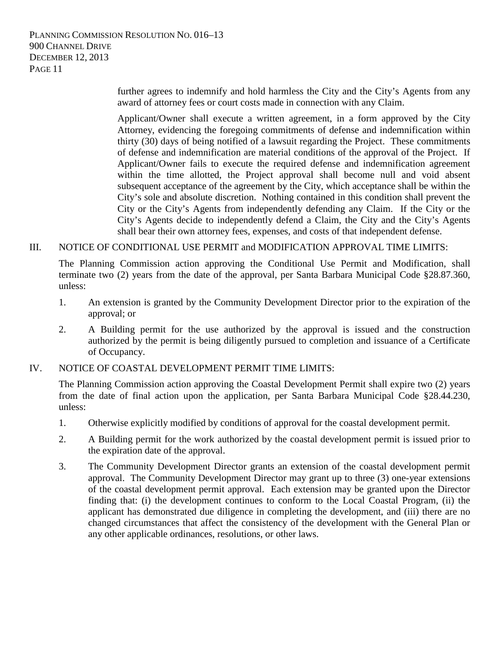PLANNING COMMISSION RESOLUTION NO. 016–13 900 CHANNEL DRIVE DECEMBER 12, 2013 PAGE 11

> further agrees to indemnify and hold harmless the City and the City's Agents from any award of attorney fees or court costs made in connection with any Claim.

> Applicant/Owner shall execute a written agreement, in a form approved by the City Attorney, evidencing the foregoing commitments of defense and indemnification within thirty (30) days of being notified of a lawsuit regarding the Project. These commitments of defense and indemnification are material conditions of the approval of the Project. If Applicant/Owner fails to execute the required defense and indemnification agreement within the time allotted, the Project approval shall become null and void absent subsequent acceptance of the agreement by the City, which acceptance shall be within the City's sole and absolute discretion. Nothing contained in this condition shall prevent the City or the City's Agents from independently defending any Claim. If the City or the City's Agents decide to independently defend a Claim, the City and the City's Agents shall bear their own attorney fees, expenses, and costs of that independent defense.

#### III. NOTICE OF CONDITIONAL USE PERMIT and MODIFICATION APPROVAL TIME LIMITS:

The Planning Commission action approving the Conditional Use Permit and Modification, shall terminate two (2) years from the date of the approval, per Santa Barbara Municipal Code §28.87.360, unless:

- 1. An extension is granted by the Community Development Director prior to the expiration of the approval; or
- 2. A Building permit for the use authorized by the approval is issued and the construction authorized by the permit is being diligently pursued to completion and issuance of a Certificate of Occupancy.

#### IV. NOTICE OF COASTAL DEVELOPMENT PERMIT TIME LIMITS:

The Planning Commission action approving the Coastal Development Permit shall expire two (2) years from the date of final action upon the application, per Santa Barbara Municipal Code §28.44.230, unless:

- 1. Otherwise explicitly modified by conditions of approval for the coastal development permit.
- 2. A Building permit for the work authorized by the coastal development permit is issued prior to the expiration date of the approval.
- 3. The Community Development Director grants an extension of the coastal development permit approval. The Community Development Director may grant up to three (3) one-year extensions of the coastal development permit approval. Each extension may be granted upon the Director finding that: (i) the development continues to conform to the Local Coastal Program, (ii) the applicant has demonstrated due diligence in completing the development, and (iii) there are no changed circumstances that affect the consistency of the development with the General Plan or any other applicable ordinances, resolutions, or other laws.